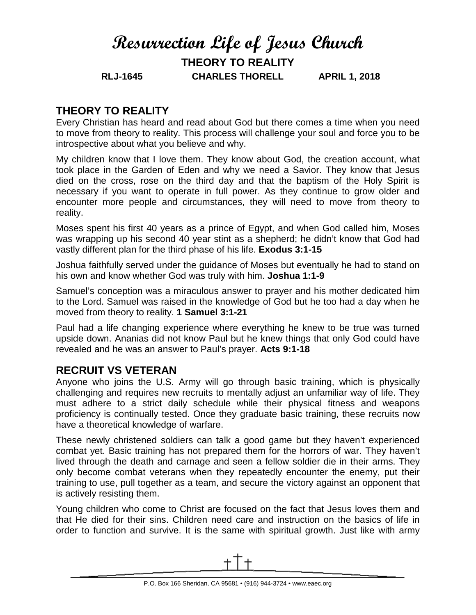## **Resurrection Life of Jesus Church THEORY TO REALITY**

**RLJ-1645 CHARLES THORELL APRIL 1, 2018**

## **THEORY TO REALITY**

Every Christian has heard and read about God but there comes a time when you need to move from theory to reality. This process will challenge your soul and force you to be introspective about what you believe and why.

My children know that I love them. They know about God, the creation account, what took place in the Garden of Eden and why we need a Savior. They know that Jesus died on the cross, rose on the third day and that the baptism of the Holy Spirit is necessary if you want to operate in full power. As they continue to grow older and encounter more people and circumstances, they will need to move from theory to reality.

Moses spent his first 40 years as a prince of Egypt, and when God called him, Moses was wrapping up his second 40 year stint as a shepherd; he didn't know that God had vastly different plan for the third phase of his life. **Exodus 3:1-15**

Joshua faithfully served under the guidance of Moses but eventually he had to stand on his own and know whether God was truly with him. **Joshua 1:1-9**

Samuel's conception was a miraculous answer to prayer and his mother dedicated him to the Lord. Samuel was raised in the knowledge of God but he too had a day when he moved from theory to reality. **1 Samuel 3:1-21**

Paul had a life changing experience where everything he knew to be true was turned upside down. Ananias did not know Paul but he knew things that only God could have revealed and he was an answer to Paul's prayer. **Acts 9:1-18**

## **RECRUIT VS VETERAN**

Anyone who joins the U.S. Army will go through basic training, which is physically challenging and requires new recruits to mentally adjust an unfamiliar way of life. They must adhere to a strict daily schedule while their physical fitness and weapons proficiency is continually tested. Once they graduate basic training, these recruits now have a theoretical knowledge of warfare.

These newly christened soldiers can talk a good game but they haven't experienced combat yet. Basic training has not prepared them for the horrors of war. They haven't lived through the death and carnage and seen a fellow soldier die in their arms. They only become combat veterans when they repeatedly encounter the enemy, put their training to use, pull together as a team, and secure the victory against an opponent that is actively resisting them.

Young children who come to Christ are focused on the fact that Jesus loves them and that He died for their sins. Children need care and instruction on the basics of life in order to function and survive. It is the same with spiritual growth. Just like with army